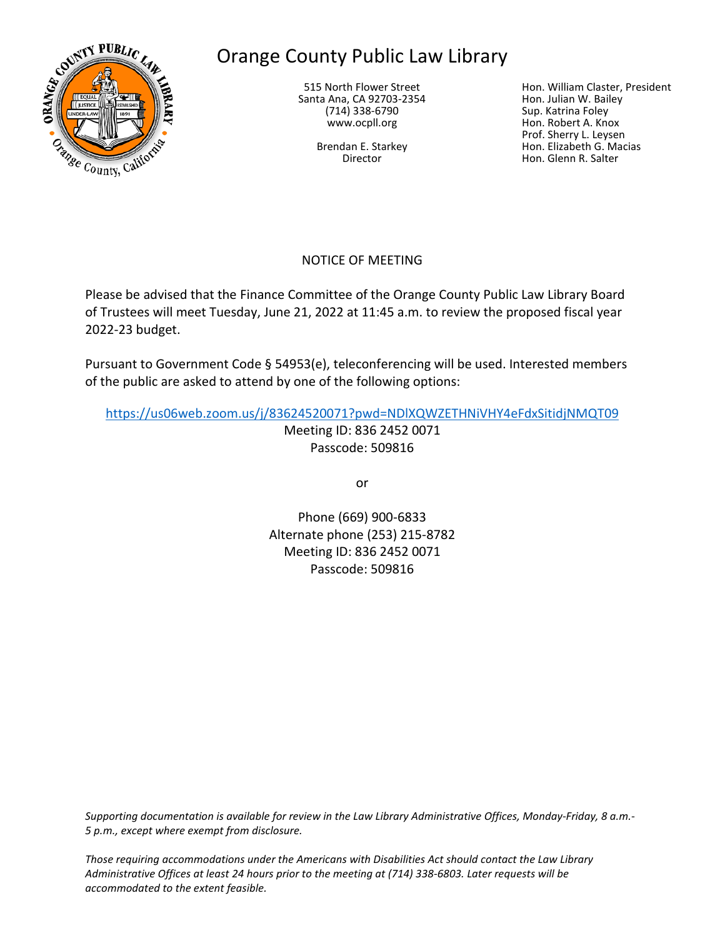

# Orange County Public Law Library

515 North Flower Street Santa Ana, CA 92703-2354 (714) 338-6790 www.ocpll.org

> Brendan E. Starkey Director

Hon. William Claster, President Hon. Julian W. Bailey Sup. Katrina Foley Hon. Robert A. Knox Prof. Sherry L. Leysen Hon. Elizabeth G. Macias Hon. Glenn R. Salter

# NOTICE OF MEETING

Please be advised that the Finance Committee of the Orange County Public Law Library Board of Trustees will meet Tuesday, June 21, 2022 at 11:45 a.m. to review the proposed fiscal year 2022-23 budget.

Pursuant to Government Code § 54953(e), teleconferencing will be used. Interested members of the public are asked to attend by one of the following options:

<https://us06web.zoom.us/j/83624520071?pwd=NDlXQWZETHNiVHY4eFdxSitidjNMQT09>

Meeting ID: 836 2452 0071 Passcode: 509816

or

Phone (669) 900-6833 Alternate phone (253) 215-8782 Meeting ID: 836 2452 0071 Passcode: 509816

*Supporting documentation is available for review in the Law Library Administrative Offices, Monday-Friday, 8 a.m.- 5 p.m., except where exempt from disclosure.*

*Those requiring accommodations under the Americans with Disabilities Act should contact the Law Library Administrative Offices at least 24 hours prior to the meeting at (714) 338-6803. Later requests will be accommodated to the extent feasible.*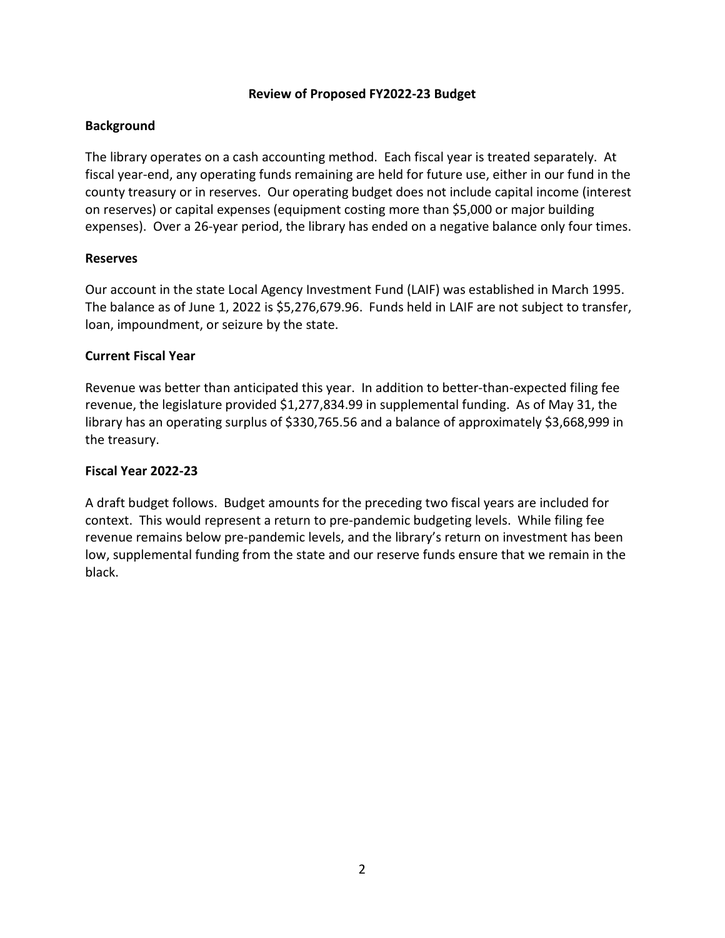#### **Review of Proposed FY2022-23 Budget**

## **Background**

The library operates on a cash accounting method. Each fiscal year is treated separately. At fiscal year-end, any operating funds remaining are held for future use, either in our fund in the county treasury or in reserves. Our operating budget does not include capital income (interest on reserves) or capital expenses (equipment costing more than \$5,000 or major building expenses). Over a 26-year period, the library has ended on a negative balance only four times.

## **Reserves**

Our account in the state Local Agency Investment Fund (LAIF) was established in March 1995. The balance as of June 1, 2022 is \$5,276,679.96. Funds held in LAIF are not subject to transfer, loan, impoundment, or seizure by the state.

## **Current Fiscal Year**

Revenue was better than anticipated this year. In addition to better-than-expected filing fee revenue, the legislature provided \$1,277,834.99 in supplemental funding. As of May 31, the library has an operating surplus of \$330,765.56 and a balance of approximately \$3,668,999 in the treasury.

## **Fiscal Year 2022-23**

A draft budget follows. Budget amounts for the preceding two fiscal years are included for context. This would represent a return to pre-pandemic budgeting levels. While filing fee revenue remains below pre-pandemic levels, and the library's return on investment has been low, supplemental funding from the state and our reserve funds ensure that we remain in the black.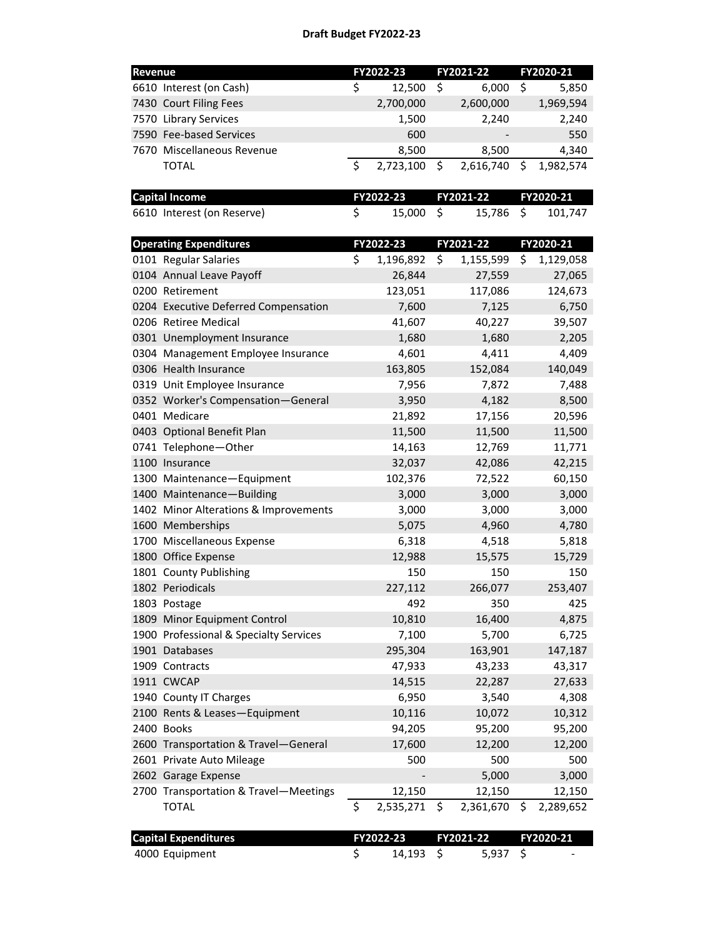| Revenue |                                        |           | FY2022-23 |           | FY2021-22 |           | FY2020-21 |  |
|---------|----------------------------------------|-----------|-----------|-----------|-----------|-----------|-----------|--|
|         | 6610 Interest (on Cash)                | \$        | 12,500    | \$        | 6,000     | \$        | 5,850     |  |
|         | 7430 Court Filing Fees                 |           | 2,700,000 |           | 2,600,000 |           | 1,969,594 |  |
|         | 7570 Library Services                  |           | 1,500     |           | 2,240     |           | 2,240     |  |
|         | 7590 Fee-based Services                |           | 600       |           |           |           | 550       |  |
|         | 7670 Miscellaneous Revenue             |           | 8,500     |           | 8,500     |           | 4,340     |  |
|         | <b>TOTAL</b>                           | \$        | 2,723,100 | \$        | 2,616,740 | \$        | 1,982,574 |  |
|         |                                        |           |           |           |           |           |           |  |
|         | <b>Capital Income</b>                  | FY2022-23 |           | FY2021-22 |           | FY2020-21 |           |  |
|         | 6610 Interest (on Reserve)             | \$        | 15,000    | \$        | 15,786    | \$        | 101,747   |  |
|         | <b>Operating Expenditures</b>          | FY2022-23 |           | FY2021-22 |           | FY2020-21 |           |  |
|         | 0101 Regular Salaries                  | \$        | 1,196,892 | \$        | 1,155,599 | \$        | 1,129,058 |  |
|         | 0104 Annual Leave Payoff               |           | 26,844    |           | 27,559    |           | 27,065    |  |
|         | 0200 Retirement                        |           | 123,051   |           | 117,086   |           | 124,673   |  |
|         | 0204 Executive Deferred Compensation   |           | 7,600     |           | 7,125     |           | 6,750     |  |
|         | 0206 Retiree Medical                   |           | 41,607    |           | 40,227    |           | 39,507    |  |
|         | 0301 Unemployment Insurance            |           | 1,680     |           | 1,680     |           | 2,205     |  |
|         | 0304 Management Employee Insurance     |           | 4,601     |           | 4,411     |           | 4,409     |  |
|         | 0306 Health Insurance                  |           | 163,805   |           | 152,084   |           | 140,049   |  |
|         | 0319 Unit Employee Insurance           |           | 7,956     |           | 7,872     |           | 7,488     |  |
|         | 0352 Worker's Compensation-General     |           | 3,950     |           | 4,182     |           | 8,500     |  |
|         | 0401 Medicare                          |           | 21,892    |           | 17,156    |           | 20,596    |  |
|         | 0403 Optional Benefit Plan             |           | 11,500    |           | 11,500    |           | 11,500    |  |
|         | 0741 Telephone-Other                   |           | 14,163    |           | 12,769    |           | 11,771    |  |
|         | 1100 Insurance                         |           | 32,037    |           | 42,086    |           | 42,215    |  |
|         | 1300 Maintenance-Equipment             |           | 102,376   |           | 72,522    |           | 60,150    |  |
|         | 1400 Maintenance-Building              |           | 3,000     |           | 3,000     |           | 3,000     |  |
|         | 1402 Minor Alterations & Improvements  |           | 3,000     |           | 3,000     |           | 3,000     |  |
|         | 1600 Memberships                       |           | 5,075     |           | 4,960     |           | 4,780     |  |
|         | 1700 Miscellaneous Expense             |           | 6,318     |           | 4,518     |           | 5,818     |  |
|         | 1800 Office Expense                    |           | 12,988    |           | 15,575    |           | 15,729    |  |
|         | 1801 County Publishing                 |           | 150       |           | 150       |           | 150       |  |
|         | 1802 Periodicals                       |           | 227,112   |           | 266,077   |           | 253,407   |  |
|         | 1803 Postage                           |           | 492       |           | 350       |           | 425       |  |
|         | 1809 Minor Equipment Control           |           | 10,810    |           | 16,400    |           | 4,875     |  |
|         | 1900 Professional & Specialty Services |           | 7,100     |           | 5,700     |           | 6,725     |  |
|         | 1901 Databases                         |           | 295,304   |           | 163,901   |           | 147,187   |  |
|         | 1909 Contracts                         |           | 47,933    |           | 43,233    |           | 43,317    |  |
|         | 1911 CWCAP                             |           | 14,515    |           | 22,287    |           | 27,633    |  |
|         | 1940 County IT Charges                 |           | 6,950     |           | 3,540     |           | 4,308     |  |
|         | 2100 Rents & Leases-Equipment          |           | 10,116    |           | 10,072    |           | 10,312    |  |
|         | 2400 Books                             |           | 94,205    |           | 95,200    |           | 95,200    |  |
|         | 2600 Transportation & Travel-General   |           | 17,600    |           | 12,200    |           | 12,200    |  |
|         | 2601 Private Auto Mileage              |           | 500       |           | 500       |           | 500       |  |
|         | 2602 Garage Expense                    |           |           |           | 5,000     |           | 3,000     |  |
|         | 2700 Transportation & Travel-Meetings  |           | 12,150    |           | 12,150    |           | 12,150    |  |
|         | <b>TOTAL</b>                           | \$        | 2,535,271 | \$        | 2,361,670 | \$        | 2,289,652 |  |
|         |                                        |           |           |           |           |           |           |  |

| <b>Capital Expenditures</b> |  |          | FY2022-23 FY2021-22 FY2020-21 |         |  |  |
|-----------------------------|--|----------|-------------------------------|---------|--|--|
| 4000 Equipment              |  | 14.193 S |                               | 5.937 S |  |  |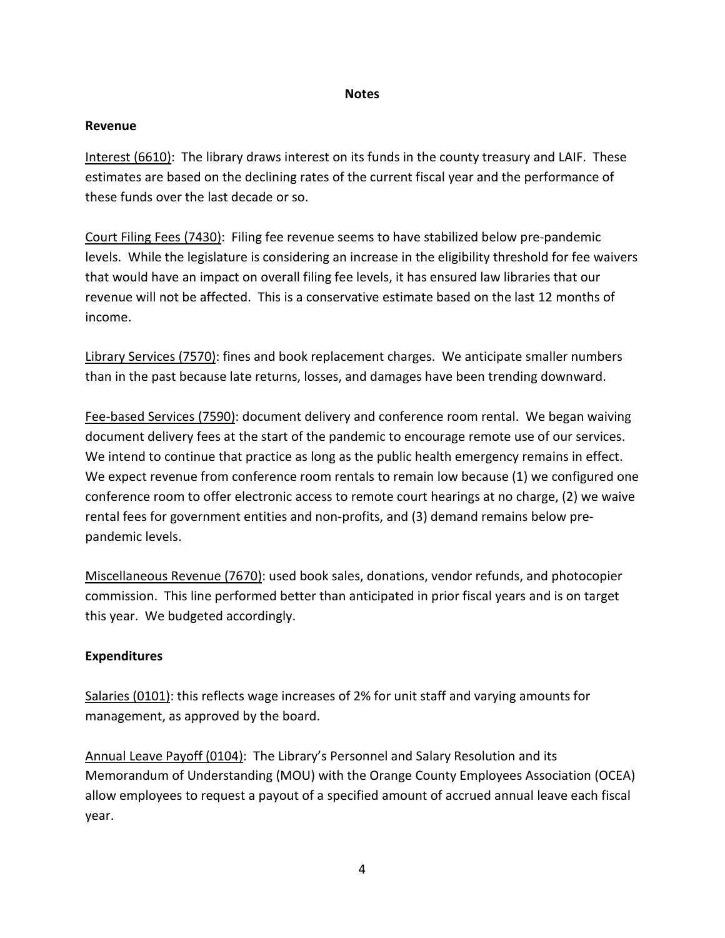## **Notes**

#### **Revenue**

Interest (6610): The library draws interest on its funds in the county treasury and LAIF. These estimates are based on the declining rates of the current fiscal year and the performance of these funds over the last decade or so.

Court Filing Fees (7430): Filing fee revenue seems to have stabilized below pre-pandemic levels. While the legislature is considering an increase in the eligibility threshold for fee waivers that would have an impact on overall filing fee levels, it has ensured law libraries that our revenue will not be affected. This is a conservative estimate based on the last 12 months of income.

Library Services (7570): fines and book replacement charges. We anticipate smaller numbers than in the past because late returns, losses, and damages have been trending downward.

Fee-based Services (7590): document delivery and conference room rental. We began waiving document delivery fees at the start of the pandemic to encourage remote use of our services. We intend to continue that practice as long as the public health emergency remains in effect. We expect revenue from conference room rentals to remain low because (1) we configured one conference room to offer electronic access to remote court hearings at no charge, (2) we waive rental fees for government entities and non-profits, and (3) demand remains below prepandemic levels.

Miscellaneous Revenue (7670): used book sales, donations, vendor refunds, and photocopier commission. This line performed better than anticipated in prior fiscal years and is on target this year. We budgeted accordingly.

## **Expenditures**

Salaries (0101): this reflects wage increases of 2% for unit staff and varying amounts for management, as approved by the board.

Annual Leave Payoff (0104): The Library's Personnel and Salary Resolution and its Memorandum of Understanding (MOU) with the Orange County Employees Association (OCEA) allow employees to request a payout of a specified amount of accrued annual leave each fiscal year.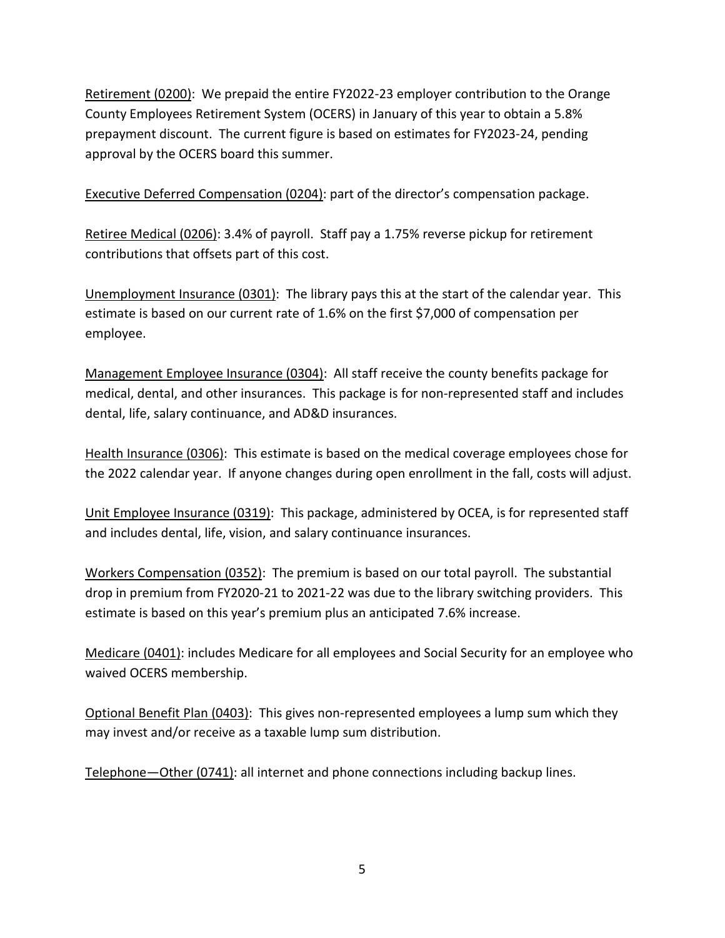Retirement (0200): We prepaid the entire FY2022-23 employer contribution to the Orange County Employees Retirement System (OCERS) in January of this year to obtain a 5.8% prepayment discount. The current figure is based on estimates for FY2023-24, pending approval by the OCERS board this summer.

Executive Deferred Compensation (0204): part of the director's compensation package.

Retiree Medical (0206): 3.4% of payroll. Staff pay a 1.75% reverse pickup for retirement contributions that offsets part of this cost.

Unemployment Insurance (0301): The library pays this at the start of the calendar year. This estimate is based on our current rate of 1.6% on the first \$7,000 of compensation per employee.

Management Employee Insurance (0304): All staff receive the county benefits package for medical, dental, and other insurances. This package is for non-represented staff and includes dental, life, salary continuance, and AD&D insurances.

Health Insurance (0306): This estimate is based on the medical coverage employees chose for the 2022 calendar year. If anyone changes during open enrollment in the fall, costs will adjust.

Unit Employee Insurance (0319): This package, administered by OCEA, is for represented staff and includes dental, life, vision, and salary continuance insurances.

Workers Compensation (0352): The premium is based on our total payroll. The substantial drop in premium from FY2020-21 to 2021-22 was due to the library switching providers. This estimate is based on this year's premium plus an anticipated 7.6% increase.

Medicare (0401): includes Medicare for all employees and Social Security for an employee who waived OCERS membership.

Optional Benefit Plan (0403): This gives non-represented employees a lump sum which they may invest and/or receive as a taxable lump sum distribution.

Telephone—Other (0741): all internet and phone connections including backup lines.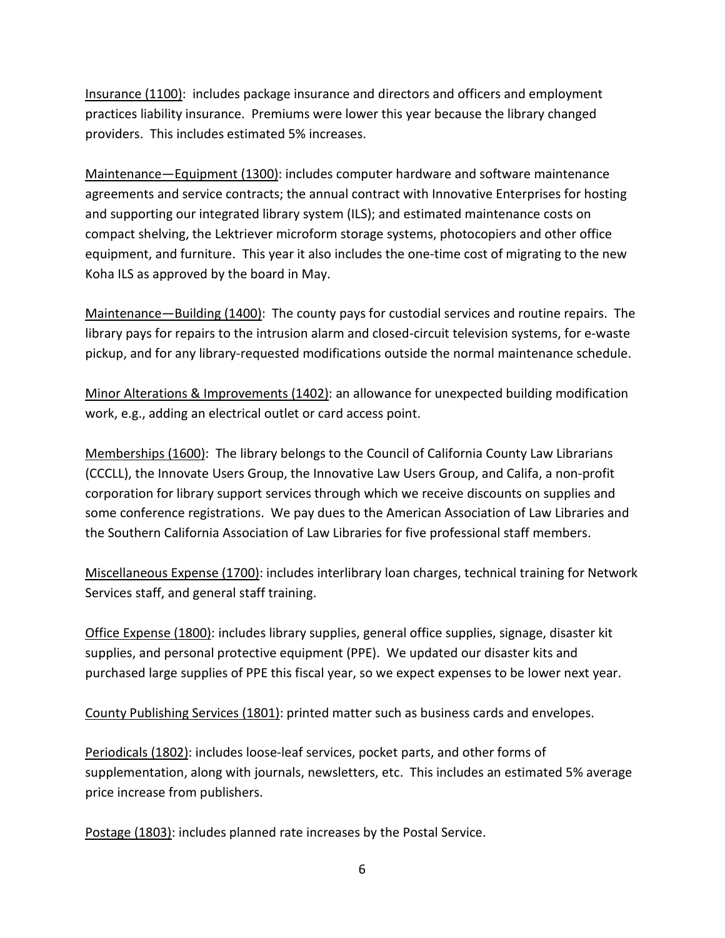Insurance (1100): includes package insurance and directors and officers and employment practices liability insurance. Premiums were lower this year because the library changed providers. This includes estimated 5% increases.

Maintenance—Equipment (1300): includes computer hardware and software maintenance agreements and service contracts; the annual contract with Innovative Enterprises for hosting and supporting our integrated library system (ILS); and estimated maintenance costs on compact shelving, the Lektriever microform storage systems, photocopiers and other office equipment, and furniture. This year it also includes the one-time cost of migrating to the new Koha ILS as approved by the board in May.

Maintenance—Building (1400): The county pays for custodial services and routine repairs. The library pays for repairs to the intrusion alarm and closed-circuit television systems, for e-waste pickup, and for any library-requested modifications outside the normal maintenance schedule.

Minor Alterations & Improvements (1402): an allowance for unexpected building modification work, e.g., adding an electrical outlet or card access point.

Memberships (1600): The library belongs to the Council of California County Law Librarians (CCCLL), the Innovate Users Group, the Innovative Law Users Group, and Califa, a non-profit corporation for library support services through which we receive discounts on supplies and some conference registrations. We pay dues to the American Association of Law Libraries and the Southern California Association of Law Libraries for five professional staff members.

Miscellaneous Expense (1700): includes interlibrary loan charges, technical training for Network Services staff, and general staff training.

Office Expense (1800): includes library supplies, general office supplies, signage, disaster kit supplies, and personal protective equipment (PPE). We updated our disaster kits and purchased large supplies of PPE this fiscal year, so we expect expenses to be lower next year.

County Publishing Services (1801): printed matter such as business cards and envelopes.

Periodicals (1802): includes loose-leaf services, pocket parts, and other forms of supplementation, along with journals, newsletters, etc. This includes an estimated 5% average price increase from publishers.

Postage (1803): includes planned rate increases by the Postal Service.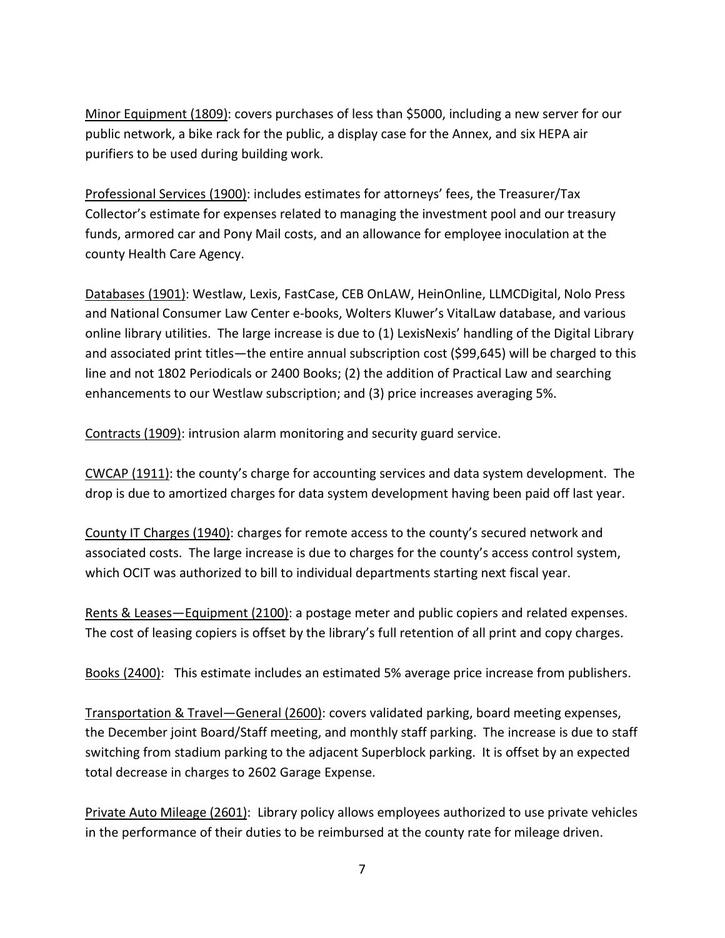Minor Equipment (1809): covers purchases of less than \$5000, including a new server for our public network, a bike rack for the public, a display case for the Annex, and six HEPA air purifiers to be used during building work.

Professional Services (1900): includes estimates for attorneys' fees, the Treasurer/Tax Collector's estimate for expenses related to managing the investment pool and our treasury funds, armored car and Pony Mail costs, and an allowance for employee inoculation at the county Health Care Agency.

Databases (1901): Westlaw, Lexis, FastCase, CEB OnLAW, HeinOnline, LLMCDigital, Nolo Press and National Consumer Law Center e-books, Wolters Kluwer's VitalLaw database, and various online library utilities. The large increase is due to (1) LexisNexis' handling of the Digital Library and associated print titles—the entire annual subscription cost (\$99,645) will be charged to this line and not 1802 Periodicals or 2400 Books; (2) the addition of Practical Law and searching enhancements to our Westlaw subscription; and (3) price increases averaging 5%.

Contracts (1909): intrusion alarm monitoring and security guard service.

CWCAP (1911): the county's charge for accounting services and data system development. The drop is due to amortized charges for data system development having been paid off last year.

County IT Charges (1940): charges for remote access to the county's secured network and associated costs. The large increase is due to charges for the county's access control system, which OCIT was authorized to bill to individual departments starting next fiscal year.

Rents & Leases—Equipment (2100): a postage meter and public copiers and related expenses. The cost of leasing copiers is offset by the library's full retention of all print and copy charges.

Books (2400): This estimate includes an estimated 5% average price increase from publishers.

Transportation & Travel—General (2600): covers validated parking, board meeting expenses, the December joint Board/Staff meeting, and monthly staff parking. The increase is due to staff switching from stadium parking to the adjacent Superblock parking. It is offset by an expected total decrease in charges to 2602 Garage Expense.

Private Auto Mileage (2601): Library policy allows employees authorized to use private vehicles in the performance of their duties to be reimbursed at the county rate for mileage driven.